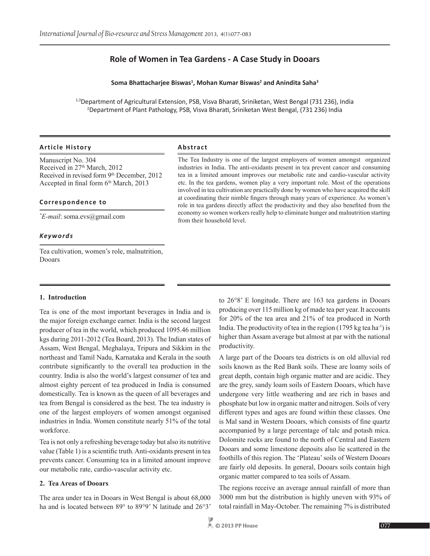# **Role of Women in Tea Gardens - A Case Study in Dooars**

#### **Soma Bhattacharjee Biswas<sup>1</sup> , Mohan Kumar Biswas<sup>2</sup> and Anindita Saha3**

<sup>1,3</sup>Department of Agricultural Extension, PSB, Visva Bharati, Sriniketan, West Bengal (731 236), India 2 Department of Plant Pathology, PSB, Visva Bharati, Sriniketan West Bengal, (731 236) India

#### **Article History Abstract**

Manuscript No. 304 Received in 27<sup>th</sup> March, 2012 Received in revised form 9<sup>th</sup> December, 2012 Accepted in final form 6<sup>th</sup> March, 2013

#### **Correspondence to**

#### *Keywords*

Tea cultivation, women's role, malnutrition, Dooars

The Tea Industry is one of the largest employers of women amongst organized industries in India. The anti-oxidants present in tea prevent cancer and consuming tea in a limited amount improves our metabolic rate and cardio-vascular activity etc. In the tea gardens, women play a very important role. Most of the operations involved in tea cultivation are practically done by women who have acquired the skill at coordinating their nimble fingers through many years of experience. As women's role in tea gardens directly affect the productivity and they also benefited from the economy so women workers really help to eliminate hunger and malnutrition starting from their household level. *\* E-mail*: soma.evs@gmail.com

#### **1. Introduction**

Tea is one of the most important beverages in India and is the major foreign exchange earner. India is the second largest producer of tea in the world, which produced 1095.46 million kgs during 2011-2012 (Tea Board, 2013). The Indian states of Assam, West Bengal, Meghalaya, Tripura and Sikkim in the northeast and Tamil Nadu, Karnataka and Kerala in the south contribute significantly to the overall tea production in the country. India is also the world's largest consumer of tea and almost eighty percent of tea produced in India is consumed domestically. Tea is known as the queen of all beverages and tea from Bengal is considered as the best. The tea industry is one of the largest employers of women amongst organised industries in India. Women constitute nearly 51% of the total workforce.

Tea is not only a refreshing beverage today but also its nutritive value (Table 1) is a scientific truth. Anti-oxidants present in tea prevents cancer. Consuming tea in a limited amount improve our metabolic rate, cardio-vascular activity etc.

#### **2. Tea Areas of Dooars**

The area under tea in Dooars in West Bengal is about 68,000 ha and is located between 89° to 89°9' N latitude and 26°3' to 26°8' E longitude. There are 163 tea gardens in Dooars producing over 115 million kg of made tea per year. It accounts for 20% of the tea area and 21% of tea produced in North India. The productivity of tea in the region  $(1795 \text{ kg} \text{ tea} \text{ ha}^{-1})$  is higher than Assam average but almost at par with the national productivity.

A large part of the Dooars tea districts is on old alluvial red soils known as the Red Bank soils. These are loamy soils of great depth, contain high organic matter and are acidic. They are the grey, sandy loam soils of Eastern Dooars, which have undergone very little weathering and are rich in bases and phosphate but low in organic matter and nitrogen. Soils of very different types and ages are found within these classes. One is Mal sand in Western Dooars, which consists of fine quartz accompanied by a large percentage of talc and potash mica. Dolomite rocks are found to the north of Central and Eastern Dooars and some limestone deposits also lie scattered in the foothills of this region. The 'Plateau' soils of Western Dooars are fairly old deposits. In general, Dooars soils contain high organic matter compared to tea soils of Assam.

The regions receive an average annual rainfall of more than 3000 mm but the distribution is highly uneven with 93% of total rainfall in May-October. The remaining 7% is distributed

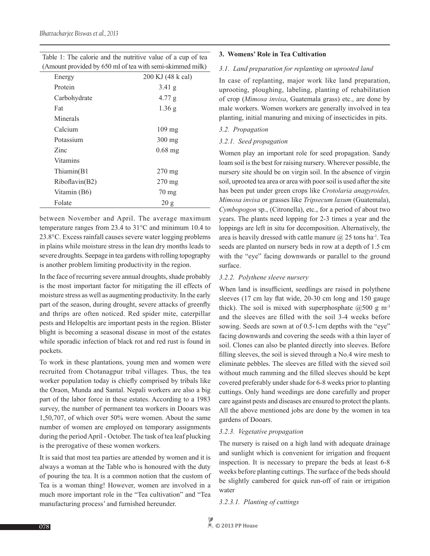| Table 1: The calorie and the nutritive value of a cup of tea |  |
|--------------------------------------------------------------|--|
| (Amount provided by 650 ml of tea with semi-skimmed milk)    |  |

| - - - - - - - <i>-</i> 1 |                   |
|--------------------------|-------------------|
| Energy                   | 200 KJ (48 k cal) |
| Protein                  | $3.41$ g          |
| Carbohydrate             | 4.77 g            |
| Fat                      | $1.36$ g          |
| Minerals                 |                   |
| Calcium                  | $109 \text{ mg}$  |
| Potassium                | 300 mg            |
| Zinc                     | $0.68$ mg         |
| <b>Vitamins</b>          |                   |
| Thiamin(B1               | $270 \text{ mg}$  |
| Riboflavin(B2)           | $270 \text{ mg}$  |
| Vitamin (B6)             | $70 \text{ mg}$   |
| Folate                   | 20 g              |

between November and April. The average maximum temperature ranges from 23.4 to 31°C and minimum 10.4 to 23.8°C. Excess rainfall causes severe water logging problems in plains while moisture stress in the lean dry months leads to severe droughts. Seepage in tea gardens with rolling topography is another problem limiting productivity in the region.

In the face of recurring severe annual droughts, shade probably is the most important factor for mitigating the ill effects of moisture stress as well as augmenting productivity. In the early part of the season, during drought, severe attacks of greenfly and thrips are often noticed. Red spider mite, caterpillar pests and Helopeltis are important pests in the region. Blister blight is becoming a seasonal disease in most of the estates while sporadic infection of black rot and red rust is found in pockets.

To work in these plantations, young men and women were recruited from Chotanagpur tribal villages. Thus, the tea worker population today is chiefly comprised by tribals like the Oraon, Munda and Santal. Nepali workers are also a big part of the labor force in these estates. According to a 1983 survey, the number of permanent tea workers in Dooars was 1,50,707, of which over 50% were women. About the same number of women are employed on temporary assignments during the period April - October. The task of tea leaf plucking is the prerogative of these women workers.

It is said that most tea parties are attended by women and it is always a woman at the Table who is honoured with the duty of pouring the tea. It is a common notion that the custom of Tea is a woman thing! However, women are involved in a much more important role in the "Tea cultivation" and "Tea manufacturing process' and furnished hereunder.

#### **3. Womens' Role in Tea Cultivation**

#### *3.1. Land preparation for replanting on uprooted land*

In case of replanting, major work like land preparation, uprooting, ploughing, labeling, planting of rehabilitation of crop (*Mimosa invisa*, Guatemala grass) etc., are done by male workers. Women workers are generally involved in tea planting, initial manuring and mixing of insecticides in pits.

#### *3.2. Propagation*

#### *3.2.1. Seed propagation*

Women play an important role for seed propagation. Sandy loam soil is the best for raising nursery. Wherever possible, the nursery site should be on virgin soil. In the absence of virgin soil, uprooted tea area or area with poor soil is used after the site has been put under green crops like *Crotolaria anagyroides, Mimosa invisa* or grasses like *Tripsecum laxum* (Guatemala), *Cymbopogon* sp., (Citronella), etc., for a period of about two years. The plants need lopping for 2-3 times a year and the loppings are left in situ for decomposition. Alternatively, the area is heavily dressed with cattle manure  $\omega/25$  tons ha<sup>-1</sup>. Tea seeds are planted on nursery beds in row at a depth of 1.5 cm with the "eye" facing downwards or parallel to the ground surface.

#### *3.2.2. Polythene sleeve nursery*

When land is insufficient, seedlings are raised in polythene sleeves (17 cm lay flat wide, 20-30 cm long and 150 gauge thick). The soil is mixed with superphosphate  $(2,500 \text{ g m}^3)$ and the sleeves are filled with the soil 3-4 weeks before sowing. Seeds are sown at of 0.5-1cm depths with the "eye" facing downwards and covering the seeds with a thin layer of soil. Clones can also be planted directly into sleeves. Before filling sleeves, the soil is sieved through a No.4 wire mesh to eliminate pebbles. The sleeves are filled with the sieved soil without much ramming and the filled sleeves should be kept covered preferably under shade for 6-8 weeks prior to planting cuttings. Only hand weedings are done carefully and proper care against pests and diseases are ensured to protect the plants. All the above mentioned jobs are done by the women in tea gardens of Dooars.

## *3.2.3. Vegetative propagation*

The nursery is raised on a high land with adequate drainage and sunlight which is convenient for irrigation and frequent inspection. It is necessary to prepare the beds at least 6-8 weeks before planting cuttings. The surface of the beds should be slightly cambered for quick run-off of rain or irrigation water

*3.2.3.1. Planting of cuttings*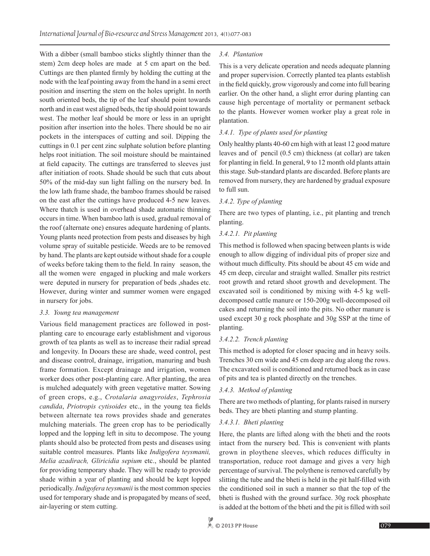With a dibber (small bamboo sticks slightly thinner than the stem) 2cm deep holes are made at 5 cm apart on the bed. Cuttings are then planted firmly by holding the cutting at the node with the leaf pointing away from the hand in a semi erect position and inserting the stem on the holes upright. In north south oriented beds, the tip of the leaf should point towards north and in east west aligned beds, the tip should point towards west. The mother leaf should be more or less in an upright position after insertion into the holes. There should be no air pockets in the interspaces of cutting and soil. Dipping the cuttings in 0.1 per cent zinc sulphate solution before planting helps root initiation. The soil moisture should be maintained at field capacity. The cuttings are transferred to sleeves just after initiation of roots. Shade should be such that cuts about 50% of the mid-day sun light falling on the nursery bed. In the low lath frame shade, the bamboo frames should be raised on the east after the cuttings have produced 4-5 new leaves. Where thatch is used in overhead shade automatic thinning occurs in time. When bamboo lath is used, gradual removal of the roof (alternate one) ensures adequate hardening of plants. Young plants need protection from pests and diseases by high volume spray of suitable pesticide. Weeds are to be removed by hand. The plants are kept outside without shade for a couple of weeks before taking them to the field. In rainy season, the all the women were engaged in plucking and male workers were deputed in nursery for preparation of beds , shades etc. However, during winter and summer women were engaged in nursery for jobs.

#### *3.3. Young tea management*

Various field management practices are followed in postplanting care to encourage early establishment and vigorous growth of tea plants as well as to increase their radial spread and longevity. In Dooars these are shade, weed control, pest and disease control, drainage, irrigation, manuring and bush frame formation. Except drainage and irrigation, women worker does other post-planting care. After planting, the area is mulched adequately with green vegetative matter. Sowing of green crops, e.g., *Crotalaria anagyroides*, *Tephrosia candida*, *Priotropis cytisoides* etc., in the young tea fields between alternate tea rows provides shade and generates mulching materials. The green crop has to be periodically lopped and the lopping left in situ to decompose. The young plants should also be protected from pests and diseases using suitable control measures. Plants like *Indigofera teysmanii, Melia azadirach, Gliricidia sepium* etc., should be planted for providing temporary shade. They will be ready to provide shade within a year of planting and should be kept lopped periodically. *Indigofera teysmanii* is the most common species used for temporary shade and is propagated by means of seed, air-layering or stem cutting.

# *3.4. Plantation*

This is a very delicate operation and needs adequate planning and proper supervision. Correctly planted tea plants establish in the field quickly, grow vigorously and come into full bearing earlier. On the other hand, a slight error during planting can cause high percentage of mortality or permanent setback to the plants. However women worker play a great role in plantation.

## *3.4.1. Type of plants used for planting*

Only healthy plants 40-60 cm high with at least 12 good mature leaves and of pencil (0.5 cm) thickness (at collar) are taken for planting in field. In general, 9 to 12 month old plants attain this stage. Sub-standard plants are discarded. Before plants are removed from nursery, they are hardened by gradual exposure to full sun.

# *3.4.2. Type of planting*

There are two types of planting, i.e., pit planting and trench planting.

# *3.4.2.1.**Pit planting*

This method is followed when spacing between plants is wide enough to allow digging of individual pits of proper size and without much difficulty. Pits should be about 45 cm wide and 45 cm deep, circular and straight walled. Smaller pits restrict root growth and retard shoot growth and development. The excavated soil is conditioned by mixing with 4-5 kg welldecomposed cattle manure or 150-200g well-decomposed oil cakes and returning the soil into the pits. No other manure is used except 30 g rock phosphate and 30g SSP at the time of planting.

## *3.4.2.2. Trench planting*

This method is adopted for closer spacing and in heavy soils. Trenches 30 cm wide and 45 cm deep are dug along the rows. The excavated soil is conditioned and returned back as in case of pits and tea is planted directly on the trenches.

## *3.4.3. Method of planting*

There are two methods of planting, for plants raised in nursery beds. They are bheti planting and stump planting.

## *3.4.3.1. Bheti planting*

Here, the plants are lifted along with the bheti and the roots intact from the nursery bed. This is convenient with plants grown in ploythene sleeves, which reduces difficulty in transportation, reduce root damage and gives a very high percentage of survival. The polythene is removed carefully by slitting the tube and the bheti is held in the pit half-filled with the conditioned soil in such a manner so that the top of the bheti is flushed with the ground surface. 30g rock phosphate is added at the bottom of the bheti and the pit is filled with soil

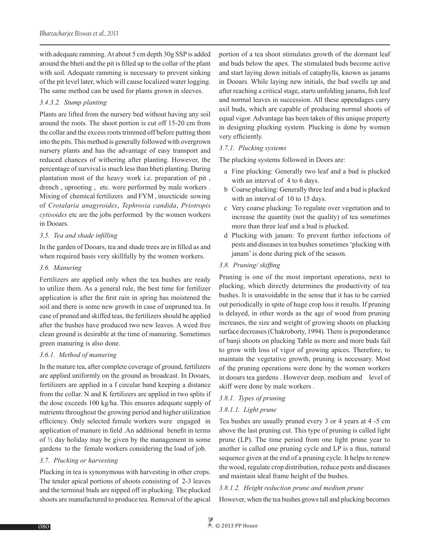with adequate ramming. At about 5 cm depth 30g SSP is added around the bheti and the pit is filled up to the collar of the plant with soil. Adequate ramming is necessary to prevent sinking of the pit level later, which will cause localized water logging. The same method can be used for plants grown in sleeves.

## *3.4.3.2. Stump planting*

Plants are lifted from the nursery bed without having any soil around the roots. The shoot portion is cut off 15-20 cm from the collar and the excess roots trimmed off before putting them into the pits. This method is generally followed with overgrown nursery plants and has the advantage of easy transport and reduced chances of withering after planting. However, the percentage of survival is much less than bheti planting. During plantation most of the heavy work i.e. preparation of pit , drench , uprooting , etc. were performed by male workers . Mixing of chemical fertilizers and FYM , insecticide sowing of *Crotalaria anagyroides*, *Tephrosia candida*, *Priotropis cytisoides* etc are the jobs performed by the women workers in Dooars.

## *3.5. Tea and shade infilling*

In the garden of Dooars, tea and shade trees are in filled as and when required basis very skillfully by the women workers.

#### *3.6. Manuring*

Fertilizers are applied only when the tea bushes are ready to utilize them. As a general rule, the best time for fertilizer application is after the first rain in spring has moistened the soil and there is some new growth in case of unpruned tea. In case of pruned and skiffed teas, the fertilizers should be applied after the bushes have produced two new leaves. A weed free clean ground is desirable at the time of manuring. Sometimes green manuring is also done.

## *3.6.1. Method of manuring*

In the mature tea, after complete coverage of ground, fertilizers are applied uniformly on the ground as broadcast. In Dooars, fertilizers are applied in a f circular band keeping a distance from the collar. N and K fertilizers are applied in two splits if the dose exceeds 100 kg/ha. This ensures adequate supply of nutrients throughout the growing period and higher utilization efficiency. Only selected female workers were engaged in application of manure in field .An additional benefit in terms of ½ day holiday may be given by the management in some gardens to the female workers considering the load of job.

## *3.7. Plucking or harvesting*

Plucking in tea is synonymous with harvesting in other crops. The tender apical portions of shoots consisting of 2-3 leaves and the terminal buds are nipped off in plucking. The plucked shoots are manufactured to produce tea. Removal of the apical portion of a tea shoot stimulates growth of the dormant leaf and buds below the apex. The stimulated buds become active and start laying down initials of cataphylls, known as janams in Dooars. While laying new initials, the bud swells up and after reaching a critical stage, starts unfolding janams, fish leaf and normal leaves in succession. All these appendages carry axil buds, which are capable of producing normal shoots of equal vigor. Advantage has been taken of this unique property in designing plucking system. Plucking is done by women very efficiently.

#### *3.7.1. Plucking systems*

The plucking systems followed in Doors are:

- a Fine plucking: Generally two leaf and a bud is plucked with an interval of 4 to 6 days.
- b Coarse plucking: Generally three leaf and a bud is plucked with an interval of 10 to 15 days.
- c Very coarse plucking: To regulate over vegetation and to increase the quantity (not the quality) of tea sometimes more than three leaf and a bud is plucked.
- d Plucking with janam: To prevent further infections of pests and diseases in tea bushes sometimes 'plucking with janam' is done during pick of the season.

#### *3.8. Pruning/ skiffing*

Pruning is one of the most important operations, next to plucking, which directly determines the productivity of tea bushes. It is unavoidable in the sense that it has to be carried out periodically in spite of huge crop loss it results. If pruning is delayed, in other words as the age of wood from pruning increases, the size and weight of growing shoots on plucking surface decreases (Chakroborty, 1994). There is preponderance of banji shoots on plucking Table as more and more buds fail to grow with loss of vigor of growing apices. Therefore, to maintain the vegetative growth, pruning is necessary. Most of the pruning operations were done by the women workers in dooars tea gardens . However deep, medium and level of skiff were done by male workers .

## *3.8.1. Types of pruning*

## *3.8.1.1. Light prune*

Tea bushes are usually pruned every 3 or 4 years at 4 -5 cm above the last pruning cut. This type of pruning is called light prune (LP). The time period from one light prune year to another is called one pruning cycle and LP is a thus, natural sequence given at the end of a pruning cycle. It helps to renew the wood, regulate crop distribution, reduce pests and diseases and maintain ideal frame height of the bushes.

## *3.8.1.2. Height reduction prune and medium prune*

However, when the tea bushes grows tall and plucking becomes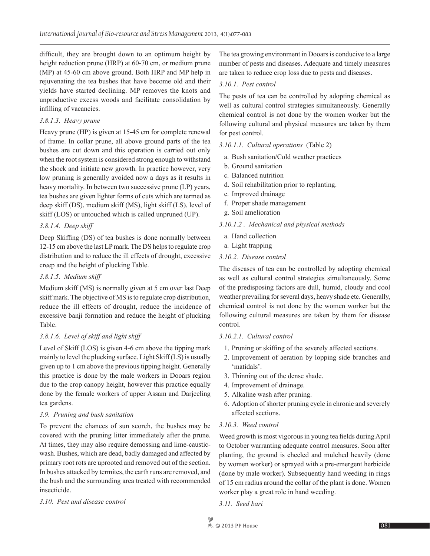difficult, they are brought down to an optimum height by height reduction prune (HRP) at 60-70 cm, or medium prune (MP) at 45-60 cm above ground. Both HRP and MP help in rejuvenating the tea bushes that have become old and their yields have started declining. MP removes the knots and unproductive excess woods and facilitate consolidation by infilling of vacancies.

#### *3.8.1.3. Heavy prune*

Heavy prune (HP) is given at 15-45 cm for complete renewal of frame. In collar prune, all above ground parts of the tea bushes are cut down and this operation is carried out only when the root system is considered strong enough to withstand the shock and initiate new growth. In practice however, very low pruning is generally avoided now a days as it results in heavy mortality. In between two successive prune (LP) years, tea bushes are given lighter forms of cuts which are termed as deep skiff (DS), medium skiff (MS), light skiff (LS), level of skiff (LOS) or untouched which is called unpruned (UP).

# *3.8.1.4. Deep skiff*

Deep Skiffing (DS) of tea bushes is done normally between 12-15 cm above the last LP mark. The DS helps to regulate crop distribution and to reduce the ill effects of drought, excessive creep and the height of plucking Table.

### *3.8.1.5. Medium skiff*

Medium skiff (MS) is normally given at 5 cm over last Deep skiff mark. The objective of MS is to regulate crop distribution, reduce the ill effects of drought, reduce the incidence of excessive banji formation and reduce the height of plucking Table.

## *3.8.1.6. Level of skiff and light skiff*

Level of Skiff (LOS) is given 4-6 cm above the tipping mark mainly to level the plucking surface. Light Skiff (LS) is usually given up to 1 cm above the previous tipping height. Generally this practice is done by the male workers in Dooars region due to the crop canopy height, however this practice equally done by the female workers of upper Assam and Darjeeling tea gardens.

## *3.9. Pruning and bush sanitation*

To prevent the chances of sun scorch, the bushes may be covered with the pruning litter immediately after the prune. At times, they may also require demossing and lime-causticwash. Bushes, which are dead, badly damaged and affected by primary root rots are uprooted and removed out of the section. In bushes attacked by termites, the earth runs are removed, and the bush and the surrounding area treated with recommended insecticide.

#### *3.10. Pest and disease control*

The tea growing environment in Dooars is conducive to a large number of pests and diseases. Adequate and timely measures are taken to reduce crop loss due to pests and diseases.

### *3.10.1. Pest control*

The pests of tea can be controlled by adopting chemical as well as cultural control strategies simultaneously. Generally chemical control is not done by the women worker but the following cultural and physical measures are taken by them for pest control.

## *3.10.1.1. Cultural operations* (Table 2)

- a. Bush sanitation/Cold weather practices
- b. Ground sanitation
- c. Balanced nutrition
- d. Soil rehabilitation prior to replanting.
- e. Improved drainage
- f. Proper shade management
- g. Soil amelioration

## *3.10.1.2 . Mechanical and physical methods*

- a. Hand collection
- a. Light trapping

## *3.10.2. Disease control*

The diseases of tea can be controlled by adopting chemical as well as cultural control strategies simultaneously. Some of the predisposing factors are dull, humid, cloudy and cool weather prevailing for several days, heavy shade etc. Generally, chemical control is not done by the women worker but the following cultural measures are taken by them for disease control.

#### *3.10.2.1. Cultural control*

- 1. Pruning or skiffing of the severely affected sections.
- 2. Improvement of aeration by lopping side branches and 'matidals'.
- 3. Thinning out of the dense shade.
- 4. Improvement of drainage.
- 5. Alkaline wash after pruning.
- 6. Adoption of shorter pruning cycle in chronic and severely affected sections.

## *3.10.3. Weed control*

Weed growth is most vigorous in young tea fields during April to October warranting adequate control measures. Soon after planting, the ground is cheeled and mulched heavily (done by women worker) or sprayed with a pre-emergent herbicide (done by male worker). Subsequently hand weeding in rings of 15 cm radius around the collar of the plant is done. Women worker play a great role in hand weeding.

*3.11. Seed bari*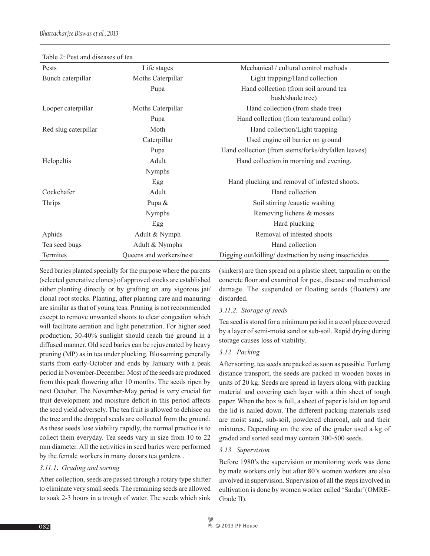| Table 2: Pest and diseases of tea |                         |                                                        |
|-----------------------------------|-------------------------|--------------------------------------------------------|
| Pests                             | Life stages             | Mechanical / cultural control methods                  |
| Bunch caterpillar                 | Moths Caterpillar       | Light trapping/Hand collection                         |
|                                   | Pupa                    | Hand collection (from soil around tea                  |
|                                   |                         | bush/shade tree)                                       |
| Looper caterpillar                | Moths Caterpillar       | Hand collection (from shade tree)                      |
|                                   | Pupa                    | Hand collection (from tea/around collar)               |
| Red slug caterpillar              | Moth                    | Hand collection/Light trapping                         |
|                                   | Caterpillar             | Used engine oil barrier on ground                      |
|                                   | Pupa                    | Hand collection (from stems/forks/dryfallen leaves)    |
| Helopeltis                        | Adult                   | Hand collection in morning and evening.                |
|                                   | Nymphs                  |                                                        |
|                                   | Egg                     | Hand plucking and removal of infested shoots.          |
| Cockchafer                        | Adult                   | Hand collection                                        |
| Thrips                            | Pupa &                  | Soil stirring /caustic washing                         |
|                                   | Nymphs                  | Removing lichens & mosses                              |
|                                   | Egg                     | Hard plucking                                          |
| Aphids                            | Adult & Nymph           | Removal of infested shoots                             |
| Tea seed bugs                     | Adult & Nymphs          | Hand collection                                        |
| Termites                          | Queens and workers/nest | Digging out/killing/ destruction by using insecticides |

Table 2: Pest and diseases of tea

Seed baries planted specially for the purpose where the parents (selected generative clones) of approved stocks are established either planting directly or by grafting on any vigorous jat/ clonal root stocks. Planting, after planting care and manuring are similar as that of young teas. Pruning is not recommended except to remove unwanted shoots to clear congestion which will facilitate aeration and light penetration. For higher seed production, 30-40% sunlight should reach the ground in a diffused manner. Old seed baries can be rejuvenated by heavy pruning (MP) as in tea under plucking. Blossoming generally starts from early-October and ends by January with a peak period in November-December. Most of the seeds are produced from this peak flowering after 10 months. The seeds ripen by next October. The November-May period is very crucial for fruit development and moisture deficit in this period affects the seed yield adversely. The tea fruit is allowed to dehisce on the tree and the dropped seeds are collected from the ground. As these seeds lose viability rapidly, the normal practice is to collect them everyday. Tea seeds vary in size from 10 to 22 mm diameter. All the activities in seed baries were performed by the female workers in many dooars tea gardens .

#### *3.11.1***.** *Grading and sorting*

After collection, seeds are passed through a rotary type shifter to eliminate very small seeds. The remaining seeds are allowed to soak 2-3 hours in a trough of water. The seeds which sink (sinkers) are then spread on a plastic sheet, tarpaulin or on the concrete floor and examined for pest, disease and mechanical damage. The suspended or floating seeds (floaters) are discarded.

#### *3.11.2. Storage of seeds*

Tea seed is stored for a minimum period in a cool place covered by a layer of semi-moist sand or sub-soil. Rapid drying during storage causes loss of viability.

#### *3.12. Packing*

After sorting, tea seeds are packed as soon as possible. For long distance transport, the seeds are packed in wooden boxes in units of 20 kg. Seeds are spread in layers along with packing material and covering each layer with a thin sheet of tough paper. When the box is full, a sheet of paper is laid on top and the lid is nailed down. The different packing materials used are moist sand, sub-soil, powdered charcoal, ash and their mixtures. Depending on the size of the grader used a kg of graded and sorted seed may contain 300-500 seeds.

#### *3.13. Supervision*

Before 1980's the supervision or monitoring work was done by male workers only but after 80's women workers are also involved in supervision. Supervision of all the steps involved in cultivation is done by women worker called 'Sardar'(OMRE-Grade II).